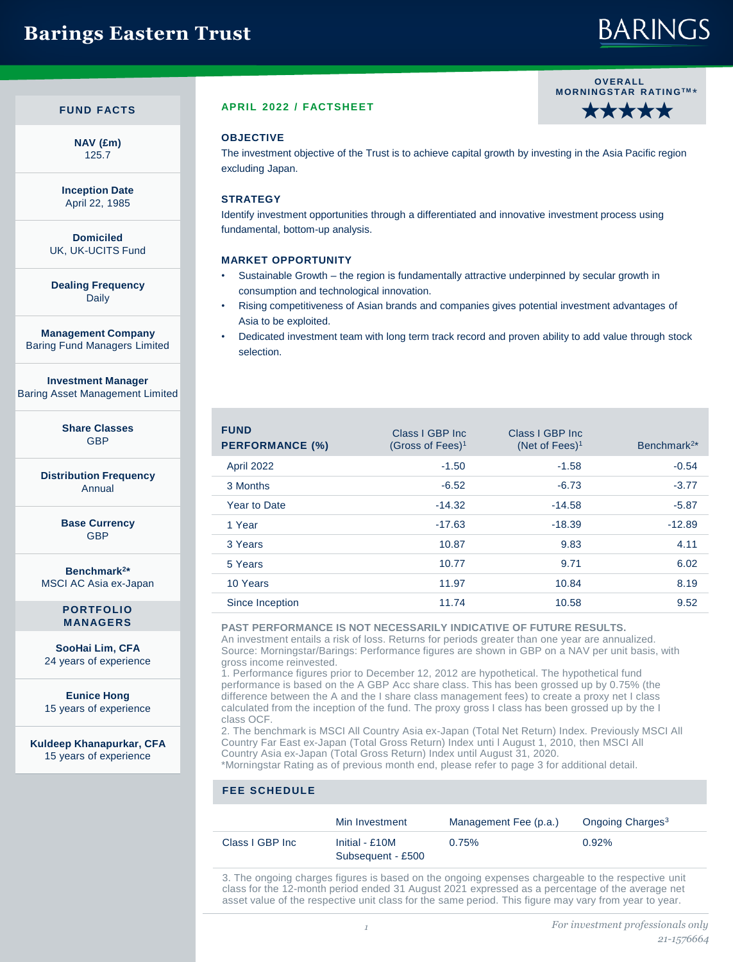## **Barings Eastern Trust**

# **BARINGS**

## **FUND FACTS**

**NAV (£m)** 125.7

**Inception Date** April 22, 1985

**Domiciled** UK, UK-UCITS Fund

**Dealing Frequency** Daily

**Management Company** Baring Fund Managers Limited

**Investment Manager** Baring Asset Management Limited

> **Share Classes GRP**

**Distribution Frequency** Annual

> **Base Currency** GBP

**Benchmark<sup>2</sup> \*** MSCI AC Asia ex-Japan

> **PORTFOLIO MANAGERS**

**SooHai Lim, CFA**  24 years of experience

**Eunice Hong**  15 years of experience

**Kuldeep Khanapurkar, CFA**  15 years of experience

## **APRIL 2022 / FACTSHEET**

## **OV E R ALL M OR N IN GS TAR R ATIN GTM** \* ★★★★★

## **OBJECTIVE**

The investment objective of the Trust is to achieve capital growth by investing in the Asia Pacific region excluding Japan.

## **STRATEGY**

Identify investment opportunities through a differentiated and innovative investment process using fundamental, bottom-up analysis.

## **MARKET OPPORTUNITY**

- Sustainable Growth the region is fundamentally attractive underpinned by secular growth in consumption and technological innovation.
- Rising competitiveness of Asian brands and companies gives potential investment advantages of Asia to be exploited.
- Dedicated investment team with long term track record and proven ability to add value through stock selection.

| <b>FUND</b><br><b>PERFORMANCE (%)</b> | Class I GBP Inc.<br>(Gross of Fees) <sup>1</sup> | Class I GBP Inc.<br>(Net of Fees) <sup>1</sup> | Benchmark <sup>2*</sup> |
|---------------------------------------|--------------------------------------------------|------------------------------------------------|-------------------------|
| April 2022                            | $-1.50$                                          | $-1.58$                                        | $-0.54$                 |
| 3 Months                              | $-6.52$                                          | $-6.73$                                        | $-3.77$                 |
| Year to Date                          | $-14.32$                                         | $-14.58$                                       | $-5.87$                 |
| 1 Year                                | $-17.63$                                         | $-18.39$                                       | $-12.89$                |
| 3 Years                               | 10.87                                            | 9.83                                           | 4.11                    |
| 5 Years                               | 10.77                                            | 9.71                                           | 6.02                    |
| 10 Years                              | 11.97                                            | 10.84                                          | 8.19                    |
| Since Inception                       | 11.74                                            | 10.58                                          | 9.52                    |

#### **PAST PERFORMANCE IS NOT NECESSARILY INDICATIVE OF FUTURE RESULTS.**

An investment entails a risk of loss. Returns for periods greater than one year are annualized. Source: Morningstar/Barings: Performance figures are shown in GBP on a NAV per unit basis, with gross income reinvested.

1. Performance figures prior to December 12, 2012 are hypothetical. The hypothetical fund performance is based on the A GBP Acc share class. This has been grossed up by 0.75% (the difference between the A and the I share class management fees) to create a proxy net I class calculated from the inception of the fund. The proxy gross I class has been grossed up by the I class OCF.

2. The benchmark is MSCI All Country Asia ex-Japan (Total Net Return) Index. Previously MSCI All Country Far East ex-Japan (Total Gross Return) Index unti l August 1, 2010, then MSCI All Country Asia ex-Japan (Total Gross Return) Index until August 31, 2020.

\*Morningstar Rating as of previous month end, please refer to page 3 for additional detail.

## **FEE SCHEDULE**

|                 | Min Investment                      | Management Fee (p.a.) | Ongoing Charges <sup>3</sup> |
|-----------------|-------------------------------------|-----------------------|------------------------------|
| Class I GBP Inc | Initial - £10M<br>Subsequent - £500 | 0.75%                 | 0.92%                        |

3. The ongoing charges figures is based on the ongoing expenses chargeable to the respective unit class for the 12-month period ended 31 August 2021 expressed as a percentage of the average net asset value of the respective unit class for the same period. This figure may vary from year to year.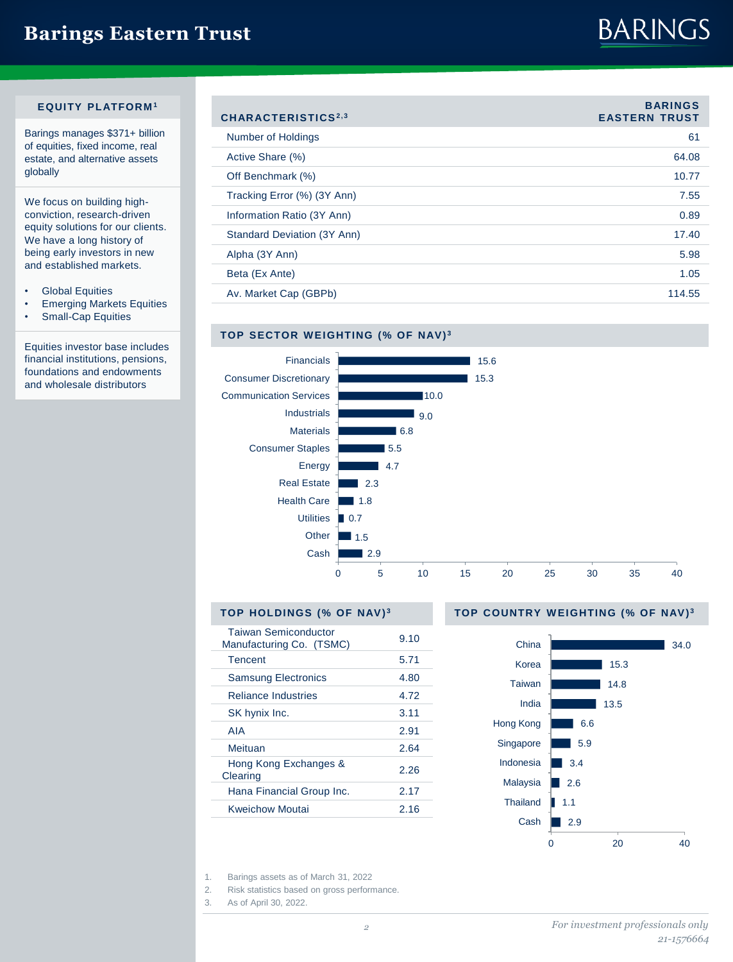## **Barings Eastern Trust**

# **BARINGS**

## **EQUITY PLATFORM <sup>1</sup>**

Barings manages \$371+ billion of equities, fixed income, real estate, and alternative assets globally

We focus on building highconviction, research-driven equity solutions for our clients. We have a long history of being early investors in new and established markets.

- Global Equities
- Emerging Markets Equities
- Small-Cap Equities

Equities investor base includes financial institutions, pensions, foundations and endowments and wholesale distributors

| CHARACTERISTICS <sup>2,3</sup> | <b>BARINGS</b><br><b>EASTERN TRUST</b> |
|--------------------------------|----------------------------------------|
| Number of Holdings             | 61                                     |
| Active Share (%)               | 64.08                                  |
| Off Benchmark (%)              | 10.77                                  |
| Tracking Error (%) (3Y Ann)    | 7.55                                   |
| Information Ratio (3Y Ann)     | 0.89                                   |
| Standard Deviation (3Y Ann)    | 17.40                                  |
| Alpha (3Y Ann)                 | 5.98                                   |
| Beta (Ex Ante)                 | 1.05                                   |
| Av. Market Cap (GBPb)          | 114.55                                 |

## **TOP SECTOR WEIGHTING (% OF NAV)<sup>3</sup>**



## **TOP HOLDINGS (% OF NAV) <sup>3</sup>**

| <b>Taiwan Semiconductor</b><br>Manufacturing Co. (TSMC) | 9.10 |
|---------------------------------------------------------|------|
| Tencent                                                 | 5.71 |
| <b>Samsung Electronics</b>                              | 4.80 |
| <b>Reliance Industries</b>                              | 4.72 |
| SK hynix Inc.                                           | 3.11 |
| AIA                                                     | 2.91 |
| Meituan                                                 | 2.64 |
| Hong Kong Exchanges &<br>Clearing                       | 2.26 |
| Hana Financial Group Inc.                               | 2.17 |
| Kweichow Moutai                                         | 2.16 |

### **TOP COUNTRY W EIGHTING (% OF NAV) <sup>3</sup>**



1. Barings assets as of March 31, 2022

2. Risk statistics based on gross performance.

3. As of April 30, 2022.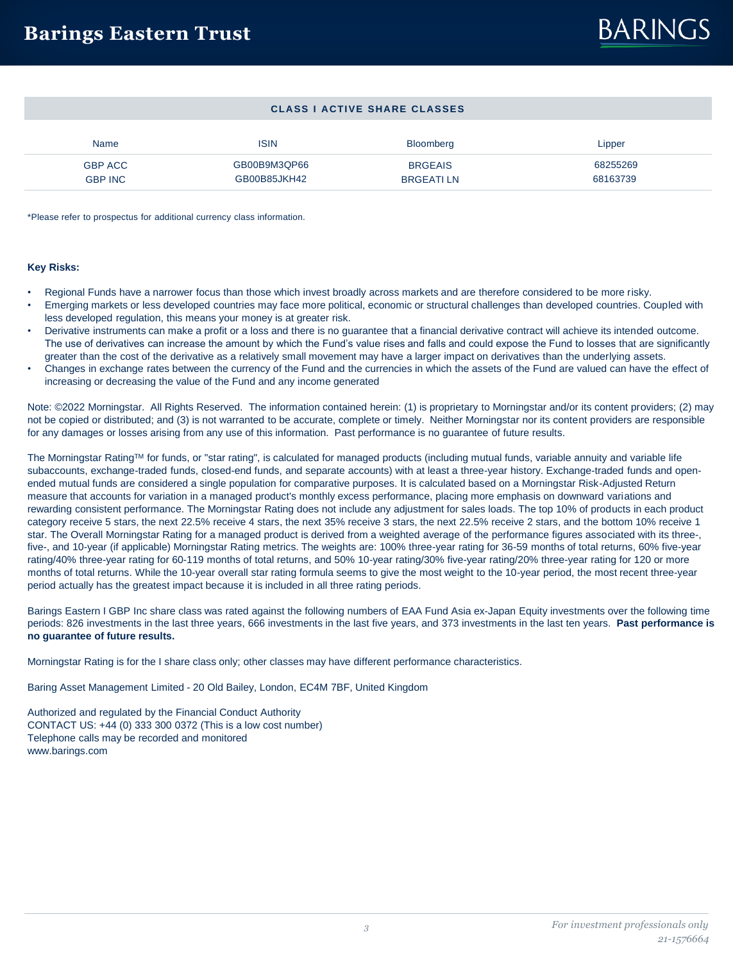### **CLASS I ACTIVE SHARE CLASSES**

| Name           | ISIN         | <b>Bloomberg</b> | Lipper   |
|----------------|--------------|------------------|----------|
| <b>GBP ACC</b> | GB00B9M3QP66 | <b>BRGEAIS</b>   | 68255269 |
| <b>GBP INC</b> | GB00B85JKH42 | <b>BRGEATILN</b> | 68163739 |

\*Please refer to prospectus for additional currency class information.

### **Key Risks:**

- Regional Funds have a narrower focus than those which invest broadly across markets and are therefore considered to be more risky.
- Emerging markets or less developed countries may face more political, economic or structural challenges than developed countries. Coupled with less developed regulation, this means your money is at greater risk.
- Derivative instruments can make a profit or a loss and there is no guarantee that a financial derivative contract will achieve its intended outcome. The use of derivatives can increase the amount by which the Fund's value rises and falls and could expose the Fund to losses that are significantly greater than the cost of the derivative as a relatively small movement may have a larger impact on derivatives than the underlying assets.
- Changes in exchange rates between the currency of the Fund and the currencies in which the assets of the Fund are valued can have the effect of increasing or decreasing the value of the Fund and any income generated

Note: ©2022 Morningstar. All Rights Reserved. The information contained herein: (1) is proprietary to Morningstar and/or its content providers; (2) may not be copied or distributed; and (3) is not warranted to be accurate, complete or timely. Neither Morningstar nor its content providers are responsible for any damages or losses arising from any use of this information. Past performance is no guarantee of future results.

The Morningstar RatingTM for funds, or "star rating", is calculated for managed products (including mutual funds, variable annuity and variable life subaccounts, exchange-traded funds, closed-end funds, and separate accounts) with at least a three-year history. Exchange-traded funds and openended mutual funds are considered a single population for comparative purposes. It is calculated based on a Morningstar Risk-Adjusted Return measure that accounts for variation in a managed product's monthly excess performance, placing more emphasis on downward variations and rewarding consistent performance. The Morningstar Rating does not include any adjustment for sales loads. The top 10% of products in each product category receive 5 stars, the next 22.5% receive 4 stars, the next 35% receive 3 stars, the next 22.5% receive 2 stars, and the bottom 10% receive 1 star. The Overall Morningstar Rating for a managed product is derived from a weighted average of the performance figures associated with its three-, five-, and 10-year (if applicable) Morningstar Rating metrics. The weights are: 100% three-year rating for 36-59 months of total returns, 60% five-year rating/40% three-year rating for 60-119 months of total returns, and 50% 10-year rating/30% five-year rating/20% three-year rating for 120 or more months of total returns. While the 10-year overall star rating formula seems to give the most weight to the 10-year period, the most recent three-year period actually has the greatest impact because it is included in all three rating periods.

Barings Eastern I GBP Inc share class was rated against the following numbers of EAA Fund Asia ex-Japan Equity investments over the following time periods: 826 investments in the last three years, 666 investments in the last five years, and 373 investments in the last ten years. **Past performance is no guarantee of future results.** 

Morningstar Rating is for the I share class only; other classes may have different performance characteristics.

Baring Asset Management Limited - 20 Old Bailey, London, EC4M 7BF, United Kingdom

Authorized and regulated by the Financial Conduct Authority CONTACT US: +44 (0) 333 300 0372 (This is a low cost number) Telephone calls may be recorded and monitored www.barings.com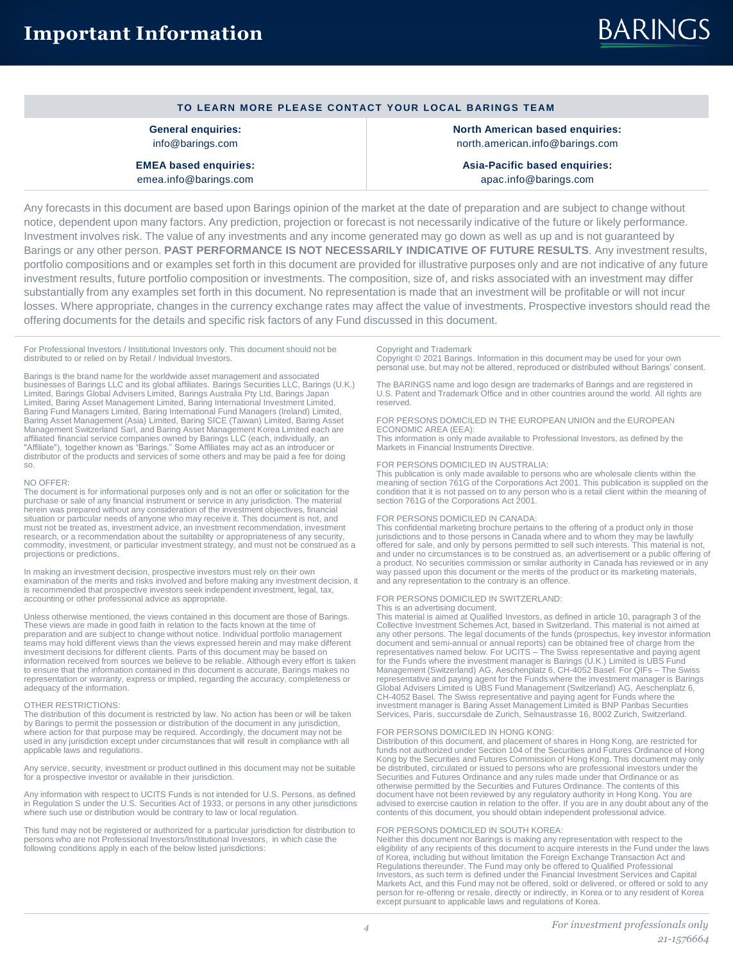| TO LEARN MORE PLEASE CONTACT YOUR LOCAL BARINGS TEAM |  |  |
|------------------------------------------------------|--|--|
|------------------------------------------------------|--|--|

**General enquiries:** info@barings.com

**EMEA based enquiries:** emea.info@barings.com

**North American based enquiries:** north.american.info@barings.com

**Asia-Pacific based enquiries:** apac.info@barings.com

Any forecasts in this document are based upon Barings opinion of the market at the date of preparation and are subject to change without notice, dependent upon many factors. Any prediction, projection or forecast is not necessarily indicative of the future or likely performance. Investment involves risk. The value of any investments and any income generated may go down as well as up and is not guaranteed by Barings or any other person. **PAST PERFORMANCE IS NOT NECESSARILY INDICATIVE OF FUTURE RESULTS**. Any investment results, portfolio compositions and or examples set forth in this document are provided for illustrative purposes only and are not indicative of any future investment results, future portfolio composition or investments. The composition, size of, and risks associated with an investment may differ substantially from any examples set forth in this document. No representation is made that an investment will be profitable or will not incur losses. Where appropriate, changes in the currency exchange rates may affect the value of investments. Prospective investors should read the offering documents for the details and specific risk factors of any Fund discussed in this document.

For Professional Investors / Institutional Investors only. This document should not be distributed to or relied on by Retail / Individual Investors.

Barings is the brand name for the worldwide asset management and associated businesses of Barings LLC and its global affiliates. Barings Securities LLC, Barings (U.K.) Limited, Barings Global Advisers Limited, Barings Australia Pty Ltd, Barings Japan Limited, Baring Asset Management Limited, Baring International Investment Limited, Baring Fund Managers Limited, Baring International Fund Management (Asia) Limited, Baring SICE (Taiwan) Limited, Baring Asset Management Sw so.

#### NO OFFER:

The document is for informational purposes only and is not an offer or solicitation for the<br>purchase or sale of any financial instrument or service in any jurisdiction. The material<br>herein was prepared without any consider situation or particular needs of anyone who may receive it. This document is not, and must not be treated as, investment advice, an investment recommendation, investment research, or a recommendation about the suitability or appropriateness of any security, commodity, investment, or particular investment strategy, and must not be construed as a projections or predictions.

In making an investment decision, prospective investors must rely on their own examination of the merits and risks involved and before making any investment decision, it is recommended that prospective investors seek independent investment, legal, tax, accounting or other professional advice as appropriate.

Unless otherwise mentioned, the views contained in this document are those of Barings. These views are made in good faith in relation to the facts known at the time of preparation and are subject to change without notice. Individual portfolio management teams may hold different views than the views expressed herein and may make different investment decisions for different clients. Parts of this document may be based on information received from sources we believe to be reliable. Although every effort is taken to ensure that the information contained in this document is accurate, Barings makes no representation or warranty, express or implied, regarding the accuracy, completeness or adequacy of the information.

#### OTHER RESTRICTIONS:

The distribution of this document is restricted by law. No action has been or will be taken by Barings to permit the possession or distribution of the document in any jurisdiction, where action for that purpose may be required. Accordingly, the document may not be used in any jurisdiction except under circumstances that will result in compliance with all applicable laws and regulations.

Any service, security, investment or product outlined in this document may not be suitable For a prospective investor or available in their jurisdiction.

Any information with respect to UCITS Funds is not intended for U.S. Persons, as defined in Regulation S under the U.S. Securities Act of 1933, or persons in any other jurisdictions where such use or distribution would be contrary to law or local regulation.

This fund may not be registered or authorized for a particular jurisdiction for distribution to persons who are not Professional Investors/Institutional Investors, in which case the following conditions apply in each of the below listed jurisdictions:

#### Copyright and Trademark

Copyright © 2021 Barings. Information in this document may be used for your own personal use, but may not be altered, reproduced or distributed without Barings' consent.

The BARINGS name and logo design are trademarks of Barings and are registered in U.S. Patent and Trademark Office and in other countries around the world. All rights are reserved.

FOR PERSONS DOMICILED IN THE EUROPEAN UNION and the EUROPEAN ECONOMIC AREA (EEA): This information is only made available to Professional Investors, as defined by the

Markets in Financial Instruments Directive.

#### FOR PERSONS DOMICILED IN AUSTRALIA:

This publication is only made available to persons who are wholesale clients within the meaning of section 761G of the Corporations Act 2001. This publication is supplied on the condition that it is not passed on to any person who is a retail client within the meaning of section 761G of the Corporations Act 2001.

#### FOR PERSONS DOMICILED IN CANADA:

This confidential marketing brochure pertains to the offering of a product only in those<br>jurisdictions and to those persons in Canada where and to whom they may be lawfully<br>offered for sale, and only by persons permitted t and under no circumstances is to be construed as, an advertisement or a public offering of a product. No securities commission or similar authority in Canada has reviewed or in any way passed upon this document or the merits of the product or its marketing materials, and any representation to the contrary is an offence.

#### FOR PERSONS DOMICILED IN SWITZERLAND:

#### This is an advertising document.

This material is aimed at Qualified Investors, as defined in article 10, paragraph 3 of the Collective Investment Schemes Act, based in Switzerland. This material is not aimed at any other persons. The legal documents of the funds (prospectus, key investor information document and semi-annual or annual reports) can be obtained free of charge from the<br>representatives named below. For UCITS – The Swiss representative and paying agent<br>for the Funds where the investment manager is Barings ( representative and paying agent for the Funds where the investment manager is Barings<br>Global Advisers Limited is UBS Fund Management (Switzerland) AG, Aeschenplatz 6,<br>CH-4052 Basel. The Swiss representative and paying agen investment manager is Baring Asset Management Limited is BNP Paribas Securities Services, Paris, succursdale de Zurich, Selnaustrasse 16, 8002 Zurich, Switzerland.

FOR PERSONS DOMICILED IN HONG KONG: Distribution of this document, and placement of shares in Hong Kong, are restricted for funds not authorized under Section 104 of the Securities and Futures Ordinance of Hong Kong by the Securities and Futures Commission of Hong Kong. This document may only be distributed, circulated or issued to persons who are professional investors under the<br>Securities and Futures Ordinance and any rules made under that Ordinance or as<br>otherwise permitted by the Securities and Futures Ordi document have not been reviewed by any regulatory authority in Hong Kong. You are advised to exercise caution in relation to the offer. If you are in any doubt about any of the contents of this document, you should obtain independent professional advice.

#### FOR PERSONS DOMICILED IN SOUTH KOREA:

Neither this document nor Barings is making any representation with respect to the eligibility of any recipients of this document to acquire interests in the Fund under the laws of Korea, including but without limitation the Foreign Exchange Transaction Act and Regulations thereunder. The Fund may only be offered to Qualified Professional Investors, as such term is defined under the Financial Investment Services and Capital Markets Act, and this Fund may not be offered, sold or delivered, or offered or sold to any person for re-offering or resale, directly or indirectly, in Korea or to any resident of Korea except pursuant to applicable laws and regulations of Korea.